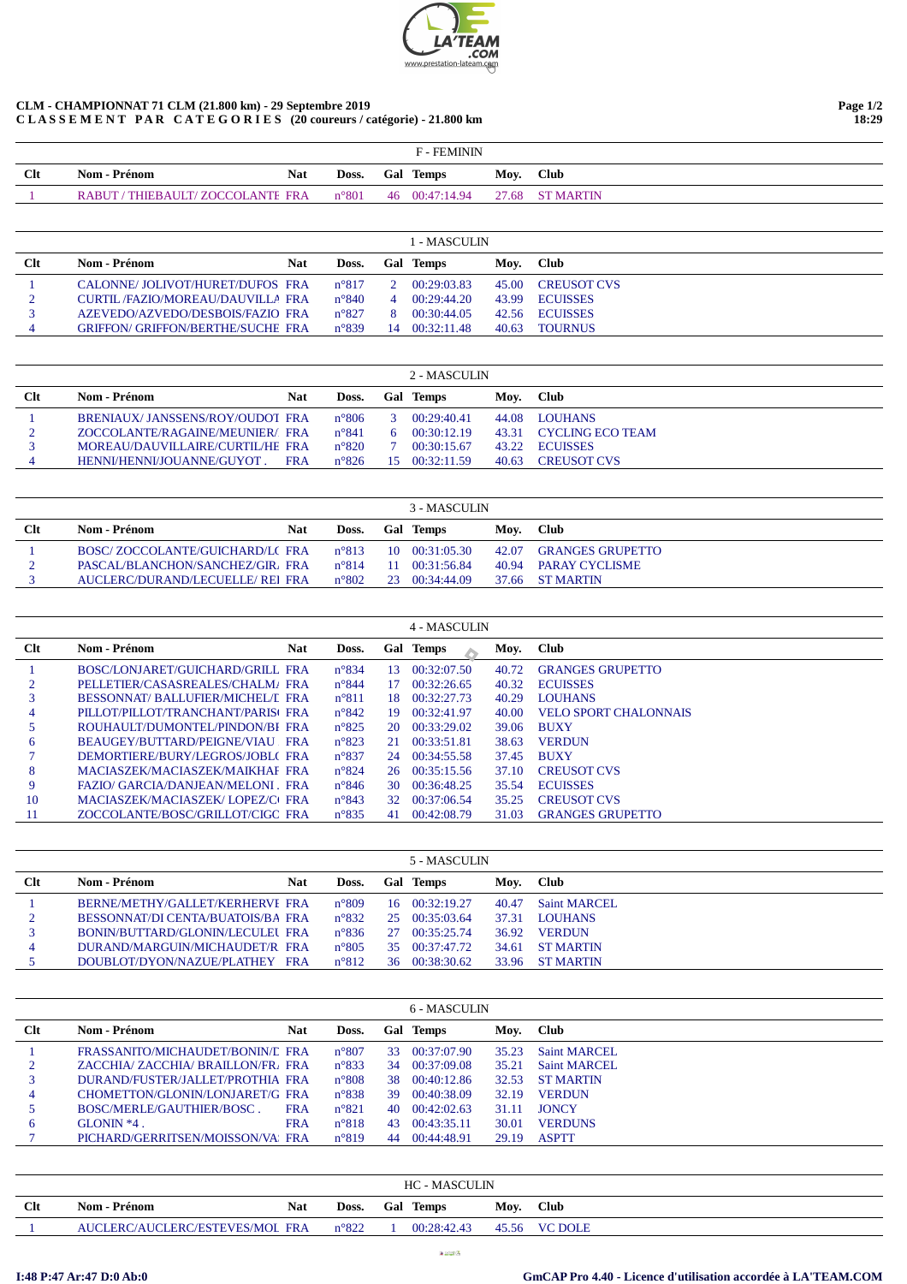

## **CLM - CHAMPIONNAT 71 CLM (21.800 km) - 29 Septembre 2019 C L A S S E M E N T P A R C A T E G O R I E S (20 coureurs / catégorie) - 21.800 km**

|            | <b>F-FEMININ</b>                  |                |  |                  |      |                 |  |  |  |  |  |
|------------|-----------------------------------|----------------|--|------------------|------|-----------------|--|--|--|--|--|
| <b>Clt</b> | <b>Nom - Prénom</b><br><b>Nat</b> | Doss.          |  | <b>Gal Temps</b> | Mov. | <b>Club</b>     |  |  |  |  |  |
|            | RABUT / THIEBAULT/ ZOCCOLANTE FRA | $n^{\circ}801$ |  | 46 00:47:14.94   |      | 27.68 ST MARTIN |  |  |  |  |  |

|            | 1 - MASCULIN                             |     |                |          |             |       |                    |  |  |  |  |  |
|------------|------------------------------------------|-----|----------------|----------|-------------|-------|--------------------|--|--|--|--|--|
| <b>Clt</b> | Nom - Prénom                             | Nat | Doss.          | Gal      | Temps       | Mov.  | <b>Club</b>        |  |  |  |  |  |
|            | CALONNE/JOLIVOT/HURET/DUFOS FRA          |     | $n^{\circ}817$ |          | 00:29:03.83 | 45.00 | <b>CREUSOT CVS</b> |  |  |  |  |  |
|            | CURTIL/FAZIO/MOREAU/DAUVILLA FRA         |     | $n^{\circ}840$ | $\Delta$ | 00:29:44.20 | 43.99 | <b>ECUISSES</b>    |  |  |  |  |  |
|            | AZEVEDO/AZVEDO/DESBOIS/FAZIO FRA         |     | $n^{\circ}827$ |          | 00:30:44.05 | 42.56 | <b>ECUISSES</b>    |  |  |  |  |  |
|            | <b>GRIFFON/ GRIFFON/BERTHE/SUCHE FRA</b> |     | $n^{\circ}839$ | 14       | 00:32:11.48 | 40.63 | <b>TOURNUS</b>     |  |  |  |  |  |

| 2 - MASCULIN |                                  |            |                |              |             |       |                    |  |  |  |  |
|--------------|----------------------------------|------------|----------------|--------------|-------------|-------|--------------------|--|--|--|--|
| $Cl$         | <b>Nom - Prénom</b>              | Nat        | Doss.          | Gal          | Temps       | Mov.  | <b>Club</b>        |  |  |  |  |
|              | BRENIAUX/JANSSENS/ROY/OUDOT FRA  |            | $n^{\circ}806$ |              | 00.29.4041  | 44.08 | <b>LOUHANS</b>     |  |  |  |  |
|              | ZOCCOLANTE/RAGAINE/MEUNIER/FRA   |            | $n^{\circ}841$ | <sub>6</sub> | 00.30.12.19 | 43.31 | CYCLING ECO TEAM   |  |  |  |  |
|              | MOREAU/DAUVILLAIRE/CURTIL/HE FRA |            | $n^{\circ}820$ |              | 00:30:15.67 | 43.22 | <b>ECUISSES</b>    |  |  |  |  |
|              | HENNI/HENNI/JOUANNE/GUYOT.       | <b>FRA</b> | $n^{\circ}826$ | 15.          | 00.32.11.59 | 40.63 | <b>CREUSOT CVS</b> |  |  |  |  |

|        | 3 - MASCULIN                     |     |                |  |                        |       |                         |  |  |  |  |
|--------|----------------------------------|-----|----------------|--|------------------------|-------|-------------------------|--|--|--|--|
| $Cl$ t | Nom - Prénom                     | Nat | Doss.          |  | <b>Gal Temps</b>       | Mov.  | - Club                  |  |  |  |  |
|        | BOSC/ZOCCOLANTE/GUICHARD/LC FRA  |     | $n^{\circ}813$ |  | $10 \quad 00:31:05.30$ | 42.07 | <b>GRANGES GRUPETTO</b> |  |  |  |  |
|        | PASCAL/BLANCHON/SANCHEZ/GIR, FRA |     | $n^{\circ}814$ |  | $11 \quad 00.31.56.84$ | 40.94 | <b>PARAY CYCLISME</b>   |  |  |  |  |
|        | AUCLERC/DURAND/LECUELLE/ REI FRA |     | $n^{\circ}802$ |  | 23 00:34:44.09         |       | 37.66 ST MARTIN         |  |  |  |  |

|     |                                         |            |                |     | 4 - MASCULIN |       |                              |
|-----|-----------------------------------------|------------|----------------|-----|--------------|-------|------------------------------|
| Clt | Nom - Prénom                            | <b>Nat</b> | Doss.          | Gal | <b>Temps</b> | Moy.  | <b>Club</b>                  |
|     | BOSC/LONJARET/GUICHARD/GRILL FRA        |            | $n^{\circ}834$ | 13  | 00:32:07.50  | 40.72 | <b>GRANGES GRUPETTO</b>      |
|     | PELLETIER/CASASREALES/CHALM/FRA         |            | $n^{\circ}844$ | 17  | 00:32:26.65  | 40.32 | <b>ECUISSES</b>              |
|     | <b>BESSONNAT/BALLUFIER/MICHEL/L FRA</b> |            | $n^{\circ}811$ | 18  | 00:32:27.73  | 40.29 | <b>LOUHANS</b>               |
| 4   | PILLOT/PILLOT/TRANCHANT/PARISCERA       |            | $n^{\circ}842$ | 19  | 00:32:41.97  | 40.00 | <b>VELO SPORT CHALONNAIS</b> |
| 5   | ROUHAULT/DUMONTEL/PINDON/BI FRA         |            | $n^{\circ}825$ | 20  | 00:33:29.02  | 39.06 | <b>BUXY</b>                  |
| 6   | BEAUGEY/BUTTARD/PEIGNE/VIAU FRA         |            | $n^{\circ}823$ | 21  | 00:33:51.81  | 38.63 | <b>VERDUN</b>                |
|     | DEMORTIERE/BURY/LEGROS/JOBL(FRA         |            | $n^{\circ}837$ | 24  | 00:34:55.58  | 37.45 | <b>BUXY</b>                  |
| 8   | MACIASZEK/MACIASZEK/MAIKHAF FRA         |            | $n^{\circ}824$ | 26  | 00:35:15.56  | 37.10 | <b>CREUSOT CVS</b>           |
| 9   | FAZIO/ GARCIA/DANJEAN/MELONI . FRA      |            | $n^{\circ}846$ | 30  | 00:36:48.25  | 35.54 | <b>ECUISSES</b>              |
| 10  | MACIASZEK/MACIASZEK/LOPEZ/CLFRA         |            | $n^{\circ}843$ | 32. | 00:37:06.54  | 35.25 | <b>CREUSOT CVS</b>           |
| 11  | ZOCCOLANTE/BOSC/GRILLOT/CIGO FRA        |            | $n^{\circ}835$ | 41  | 00:42:08.79  | 31.03 | <b>GRANGES GRUPETTO</b>      |

|        |                                   |     |                |     | 5 - MASCULIN           |       |                  |
|--------|-----------------------------------|-----|----------------|-----|------------------------|-------|------------------|
| $Cl$ t | Nom - Prénom                      | Nat | Doss.          | Gal | Temps                  | Mov.  | <b>Club</b>      |
|        | BERNE/METHY/GALLET/KERHERVF FRA   |     | $n^{\circ}809$ | 16  | 00.32.19.27            | 40.47 | Saint MARCEL     |
|        | BESSONNAT/DI CENTA/BUATOIS/BA FRA |     | $n^{\circ}832$ |     | $25 \quad 00.35.03.64$ | 37.31 | <b>LOUHANS</b>   |
|        | BONIN/BUTTARD/GLONIN/LECULEL FRA  |     | $n^{\circ}836$ | 27  | 00:35:25.74            | 36.92 | <b>VERDUN</b>    |
| 4      | DURAND/MARGUIN/MICHAUDET/R FRA    |     | $n^{\circ}805$ | 35  | 00:37:47.72            | 34.61 | <b>ST MARTIN</b> |
|        | DOUBLOT/DYON/NAZUE/PLATHEY FRA    |     | $n^{\circ}812$ | 36  | 00:38:30.62            | 33.96 | <b>ST MARTIN</b> |

|     | 6 - MASCULIN                      |            |                |    |             |       |                  |  |  |  |  |
|-----|-----------------------------------|------------|----------------|----|-------------|-------|------------------|--|--|--|--|
| Clt | Nom - Prénom                      | Nat        | Doss.          |    | Gal Temps   | Moy.  | <b>Club</b>      |  |  |  |  |
|     | FRASSANITO/MICHAUDET/BONIN/L FRA  |            | $n^{\circ}807$ | 33 | 00:37:07.90 | 35.23 | Saint MARCEL     |  |  |  |  |
| 2   | ZACCHIA/ZACCHIA/BRAILLON/FR/FRA   |            | $n^{\circ}833$ | 34 | 00:37:09.08 | 35.21 | Saint MARCEL     |  |  |  |  |
|     | DURAND/FUSTER/JALLET/PROTHIA FRA  |            | $n^{\circ}808$ | 38 | 00:40:12.86 | 32.53 | <b>ST MARTIN</b> |  |  |  |  |
| 4   | CHOMETTON/GLONIN/LONJARET/G FRA   |            | $n^{\circ}838$ | 39 | 00:40:38.09 | 32.19 | <b>VERDUN</b>    |  |  |  |  |
|     | BOSC/MERLE/GAUTHIER/BOSC.         | <b>FRA</b> | $n^{\circ}821$ | 40 | 00:42:02.63 | 31.11 | <b>JONCY</b>     |  |  |  |  |
| 6   | $GI$ ONIN $*4$ .                  | <b>FRA</b> | $n^{\circ}818$ | 43 | 00:43:35.11 | 30.01 | <b>VERDUNS</b>   |  |  |  |  |
|     | PICHARD/GERRITSEN/MOISSON/VA: FRA |            | $n^{\circ}819$ | 44 | 00:44:48.91 | 29.19 | <b>ASPTT</b>     |  |  |  |  |

|            | <b>HC - MASCULIN</b>            |     |                |     |             |       |                |  |  |  |  |
|------------|---------------------------------|-----|----------------|-----|-------------|-------|----------------|--|--|--|--|
| <b>Clt</b> | Nom - Prénom                    | Nat | Doss.          | Gal | Temps       | Moy.  | <b>Club</b>    |  |  |  |  |
|            | AUCLERC/AUCLERC/ESTEVES/MOL FRA |     | $n^{\circ}822$ |     | 00:28:42.43 | 45.56 | <b>VC DOLE</b> |  |  |  |  |